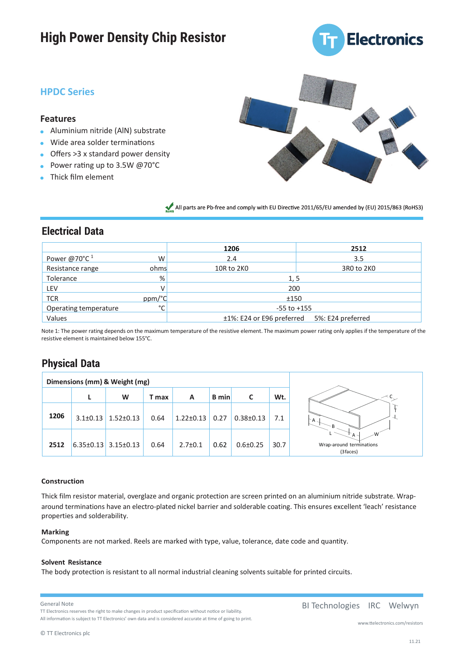# **High Power Density Chip Resistor**



## **HPDC Series HPDC Series**

#### **Features**

- Aluminium nitride (AlN) substrate Aluminum nitride (AlN) substrate
- Wide area solder terminations Wide area solder terminations
- Offers >3 x standard power density Offers >3 x standard power density
- Power rating up to 3.5W @70°C Power rating up to 3.5W @70°C
- Thick film element Thick film element



All parts are Pb-free and comply with EU Directive 2011/65/EU amended by (EU) 2015/863 (RoHS3) All parts are Pb-free and comply with EU Directive 2011/65/EU amended by (EU) 2015/863 (RoHS3)

### **Electrical Data**

|                          |        | 1206                      | 2512              |  |  |  |
|--------------------------|--------|---------------------------|-------------------|--|--|--|
| Power @70°C <sup>1</sup> | W      | 2.4                       | 3.5               |  |  |  |
| Resistance range         | ohms   | 10R to 2K0                | 3R0 to 2K0        |  |  |  |
| Tolerance                | %      |                           | 1,5               |  |  |  |
| LEV                      |        |                           | 200               |  |  |  |
| <b>TCR</b>               | ppm/°C |                           | ±150              |  |  |  |
| Operating temperature    | $\sim$ |                           | $-55$ to $+155$   |  |  |  |
| Values                   |        | ±1%: E24 or E96 preferred | 5%: E24 preferred |  |  |  |

Note 1: The power rating depends on the maximum temperature of the resistive element. The maximum power rating only applies if the temperature of the resistive element is maintained below 155°C.

## **Physical Data**

| Dimensions (mm) & Weight (mg) |                |                                 |       |                      |              |                 |      |                                      |
|-------------------------------|----------------|---------------------------------|-------|----------------------|--------------|-----------------|------|--------------------------------------|
|                               |                | W                               | T max | A                    | <b>B</b> min | C               | Wt.  | $\lt$ C                              |
| 1206                          | $3.1 \pm 0.13$ | $1.52 \pm 0.13$                 | 0.64  | $1.22 \pm 0.13$ 0.27 |              | $0.38 \pm 0.13$ | 7.1  | $\neg A$ .<br>$-B$                   |
| 2512                          |                | $6.35 \pm 0.13$ 3.15 $\pm$ 0.13 | 0.64  | $2.7 \pm 0.1$        | 0.62         | $0.6 \pm 0.25$  | 30.7 | Wrap-around terminations<br>(3faces) |

#### **Construction**

Thick film resistor material, overglaze and organic protection are screen printed on an aluminium nitride substrate. Wraparound terminations have an electro-plated nickel barrier and solderable coating. This ensures excellent 'leach' resistance properties and solderability.

#### **Marking**

Components are not marked. Reels are marked with type, value, tolerance, date code and quantity.

#### **Solvent Resistance**

The body protection is resistant to all normal industrial cleaning solvents suitable for printed circuits.

General Note

TT Electronics reserves the right to make changes in product specification without notice or liability. All information is subject to TT Electronics' own data and is considered accurate at time of going to print. BI Technologies IRC Welwyn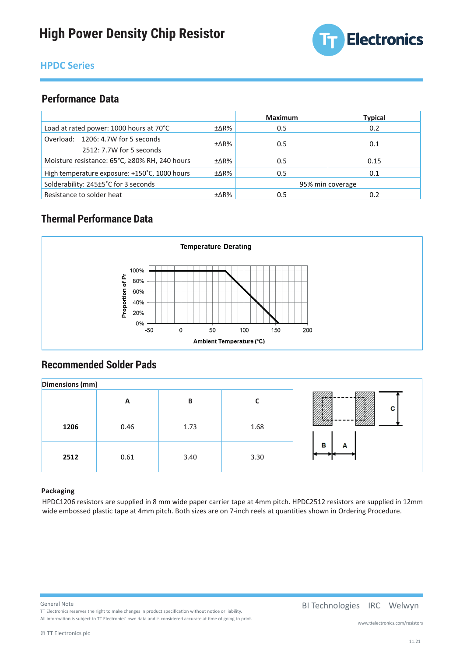

# **HPDC Series HPDC Series**

## **Performance Data**

|                                                                           |                  | <b>Maximum</b> | <b>Typical</b> |
|---------------------------------------------------------------------------|------------------|----------------|----------------|
| Load at rated power: 1000 hours at 70°C                                   | ±∆R%             | 0.5            | 0.2            |
| Overload: 1206: 4.7W for 5 seconds                                        | ±∆R%             | 0.5            | 0.1            |
| 2512: 7.7W for 5 seconds<br>Moisture resistance: 65°C, ≥80% RH, 240 hours | $\pm\Delta$ R%   | 0.5            | 0.15           |
| High temperature exposure: +150°C, 1000 hours                             | ±∆R%             | 0.5            | 0.1            |
| Solderability: 245±5°C for 3 seconds                                      | 95% min coverage |                |                |
| Resistance to solder heat                                                 | ±∆R%             | 0.5            | 0.2            |

## **Thermal Performance Data**



# **Recommended Solder Pads**

| <b>Dimensions (mm)</b> |      |      |      |        |
|------------------------|------|------|------|--------|
|                        | A    | B    |      | С      |
| 1206                   | 0.46 | 1.73 | 1.68 |        |
| 2512                   | 0.61 | 3.40 | 3.30 | в<br>А |

#### **Packaging**

HPDC1206 resistors are supplied in 8 mm wide paper carrier tape at 4mm pitch. HPDC2512 resistors are supplied in 12mm wide embossed plastic tape at 4mm pitch. Both sizes are on 7-inch reels at quantities shown in Ordering Procedure.

#### General Note

General Note<br>TT Electronics reserves the right to make changes in product specification without notice or liability. **BI Technologies IRC Welwyn** All information is subject to TT Electronics' own data and is considered accurate at time of going to print. All information is subject to TT Electronics' own data and is considered accurate at time of going to print.

#### BI Technologies IRC Welwyn